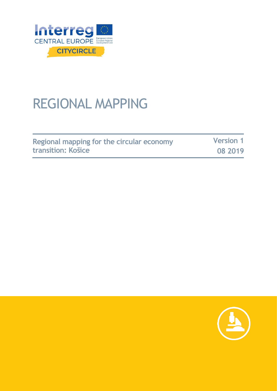

## REGIONAL MAPPING

| Regional mapping for the circular economy | <b>Version 1</b> |
|-------------------------------------------|------------------|
| <b>transition: Košice</b>                 | 08 2019          |

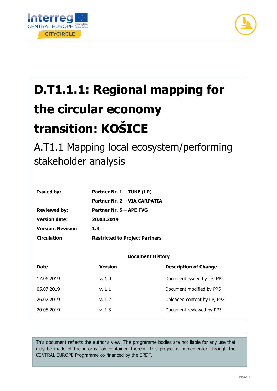



# **D.T1.1.1: Regional mapping for the circular economy transition: KOŠICE**

A.T1.1 Mapping local ecosystem/performing stakeholder analysis

| <b>Issued by:</b>        | Partner Nr. 1 - TUKE (LP)             |  |
|--------------------------|---------------------------------------|--|
|                          | Partner Nr. 2 – VIA CARPATIA          |  |
| <b>Reviewed by:</b>      | Partner Nr. 5 - APE FVG               |  |
| <b>Version date:</b>     | 20.08.2019                            |  |
| <b>Version, Revision</b> | 1.3                                   |  |
| <b>Circulation</b>       | <b>Restricted to Project Partners</b> |  |

#### **Document History**

| <b>Date</b> | Version | <b>Description of Change</b> |
|-------------|---------|------------------------------|
| 17.06.2019  | v. 1.0  | Document issued by LP, PP2   |
| 05.07.2019  | v. 1.1  | Document modified by PP5     |
| 26.07.2019  | v. 1.2  | Uploaded content by LP, PP2  |
| 20.08.2019  | v. 1.3  | Document reviewed by PP5     |
|             |         |                              |

This document reflects the author's view. The programme bodies are not liable for any use that may be made of the information contained therein. This project is implemented through the CENTRAL EUROPE Programme co-financed by the ERDF.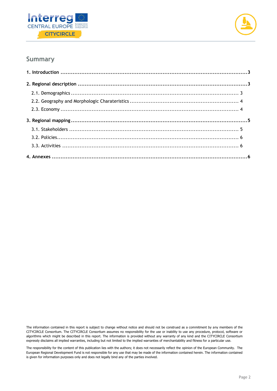



#### **Summary**

The information contained in this report is subject to change without notice and should not be construed as a commitment by any members of the CITYCIRCLE Consortium. The CITYCIRCLE Consortium assumes no responsibility for the use or inability to use any procedure, protocol, software or algorithms which might be described in this report. The information is provided without any warranty of any kind and the CITYCIRCLE Consortium expressly disclaims all implied warranties, including but not limited to the implied warranties of merchantability and fitness for a particular use.

The responsibility for the content of this publication lies with the authors; it does not necessarily reflect the opinion of the European Community. The European Regional Development Fund is not responsible for any use that may be made of the information contained herein. The information contained is given for information purposes only and does not legally bind any of the parties involved.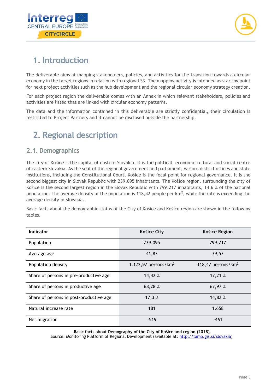



## <span id="page-3-0"></span>**1. Introduction**

The deliverable aims at mapping stakeholders, policies, and activities for the transition towards a circular economy in the target regions in relation with regional S3. The mapping activity is intended as starting point for next project activities such as the hub development and the regional circular economy strategy creation.

For each project region the deliverable comes with an Annex in which relevant stakeholders, policies and activities are listed that are linked with circular economy patterns.

The data and the information contained in this deliverable are strictly confidential, their circulation is restricted to Project Partners and it cannot be disclosed outside the partnership.

## <span id="page-3-2"></span><span id="page-3-1"></span>**2. Regional description**

#### **2.1. Demographics**

The city of Košice is the capital of eastern Slovakia. It is the political, economic cultural and social centre of eastern Slovakia. As the seat of the regional government and parliament, various district offices and state institutions, including the Constitutional Court, Košice is the focal point for regional governance. It is the second biggest city in Slovak Republic with 239.095 inhabitants. The Košice region, surrounding the city of Košice is the second largest region in the Slovak Republic with 799.217 inhabitants, 14,6 % of the national population. The average density of the population is 118,42 people per  $km^2$ , while the rate is exceeding the average density in Slovakia.

Basic facts about the demographic status of the City of Košice and Košice region are shown in the following tables.

| Indicator                               | <b>Košice City</b>      | Košice Region         |
|-----------------------------------------|-------------------------|-----------------------|
| Population                              | 239.095                 | 799.217               |
| Average age                             | 41,83                   | 39,53                 |
| Population density                      | 1.172,97 persons/ $km2$ | 118,42 persons/ $km2$ |
| Share of persons in pre-productive age  | 14,42 %                 | 17,21 %               |
| Share of persons in productive age      | 68,28 %                 | 67,97 %               |
| Share of persons in post-productive age | 17,3 %                  | 14,82 %               |
| Natural increase rate                   | 181                     | 1.658                 |
| Net migration                           | $-519$                  | $-461$                |

**Basic facts about Demography of the City of Košice and region (2018)** Source: Monitoring Platform of Regional Development (available at: [http://tamp.gis.si/slovakia\)](http://tamp.gis.si/slovakia)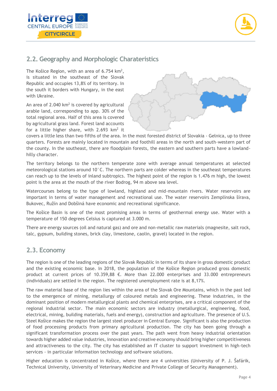



#### <span id="page-4-0"></span>**2.2. Geography and Morphologic Charateristics**

The Košice Region, with an area of  $6.754 \text{ km}^2$ , is situated in the southeast of the Slovak Republic and occupies 13,8% of its territory. In the south it borders with Hungary, in the east with Ukraine.

An area of  $2.040 \mathrm{km^2}$  is covered by agricultural arable land, corresponding to app. 30% of the total regional area. Half of this area is covered by agricultural grass land. Forest land accounts for a little higher share, with 2.693  $km^2$  it



covers a little less than two fifths of the area. In the most forested district of Slovakia - Gelnica, up to three quarters. Forests are mainly located in mountain and foothill areas in the north and south-western part of the county. In the southeast, there are floodplain forests, the eastern and southern parts have a lowlandhilly character.

The territory belongs to the northern temperate zone with average annual temperatures at selected meteorological stations around 10°C. The northern parts are colder whereas in the southeast temperatures can reach up to the levels of inland subtropics. The highest point of the region is 1.476 m high, the lowest point is the area at the mouth of the river Bodrog, 94 m above sea level.

Watercourses belong to the type of lowland, highland and mid-mountain rivers. Water reservoirs are important in terms of water management and recreational use. The water reservoirs Zemplínska šírava, Bukovec, Ružín and Dobšiná have economic and recreational significance.

The Košice Basin is one of the most promising areas in terms of geothermal energy use. Water with a temperature of 150 degrees Celsius is captured at 3.000 m.

There are energy sources (oil and natural gas) and ore and non-metallic raw materials (magnesite, salt rock, talc, gypsum, building stones, brick clay, limestone, caolin, gravel) located in the region.

#### <span id="page-4-1"></span>**2.3. Economy**

The region is one of the leading regions of the Slovak Republic in terms of its share in gross domestic product and the existing economic base. In 2018, the population of the Košice Region produced gross domestic product at current prices of 10.359,88 €. More than 22.000 enterprises and 33.000 entrepreneurs (individuals) are settled in the region. The registered unemployment rate is at 8,17%.

The raw material base of the region lies within the area of the Slovak Ore Mountains, which in the past led to the emergence of mining, metallurgy of coloured metals and engineering. These industries, in the dominant position of modern metallurgical plants and chemical enterprises, are a critical component of the regional industrial sector. The main economic sectors are industry (metallurgical, engineering, food, electrical, mining, building materials, fuels and energy), construction and agriculture. The presence of U.S. Steel Košice makes the region the largest steel producer in Central Europe. Significant is also the production of food processing products from primary agricultural production. The city has been going through a significant transformation process over the past years. The path went from heavy industrial orientation towards higher added value industries, innovation and creative economy should bring higher competitiveness and attractiveness to the city. The city has established an IT cluster to support investment in high-tech services - in particular information technology and software solutions.

Higher education is concentrated in Košice, where there are 4 universities (University of P. J. Šafárik, Technical University, University of Veterinary Medicine and Private College of Security Management).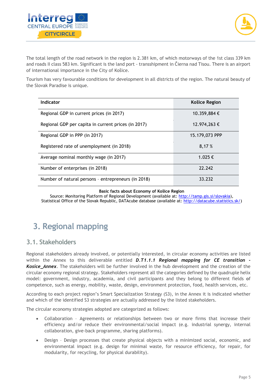



The total length of the road network in the region is 2.381 km, of which motorways of the 1st class 339 km and roads II class 583 km. Significant is the land port - transshipment in Čierna nad Tisou. There is an airport of international importance in the City of Košice.

Tourism has very favourable conditions for development in all districts of the region. The natural beauty of the Slovak Paradise is unique.

| Indicator                                           | Košice Region  |
|-----------------------------------------------------|----------------|
| Regional GDP in current prices (in 2017)            | 10.359,884 €   |
| Regional GDP per capita in current prices (in 2017) | 12.974,263 €   |
| Regional GDP in PPP (in 2017)                       | 15.179,073 PPP |
| Registered rate of unemployment (in 2018)           | 8,17%          |
| Average nominal monthly wage (in 2017)              | 1.025 €        |
| Number of enterprises (in 2018)                     | 22.242         |
| Number of natural persons - entrepreneurs (in 2018) | 33.232         |

#### **Basic facts about Economy of Košice Region**

Source: Monitoring Platform of Regional Development (available at: [http://tamp.gis.si/slovakia\)](http://tamp.gis.si/slovakia), Statistical Office of the Slovak Republic, DATAcube database (available at: [http://datacube.statistics.sk/\)](http://datacube.statistics.sk/)

## <span id="page-5-0"></span>**3. Regional mapping**

#### <span id="page-5-1"></span>**3.1. Stakeholders**

Regional stakeholders already involved, or potentially interested, in circular economy activities are listed within the Annex to this deliverable entitled *D.T1.1.1 Regional mapping for CE transition - Kosice\_Annex*. The stakeholders will be further involved in the hub development and the creation of the circular economy regional strategy. Stakeholders represent all the categories defined by the quadruple helix model: government, industry, academia, and civil participants and they belong to different fields **o**f competence, such as energy, mobility, waste, design, environment protection, food, health services, etc.

According to each project region's Smart Specialization Strategy (S3), in the Annex it is indicated whether and which of the identified S3 strategies are actually addressed by the listed stakeholders.

The circular economy strategies adopted are categorized as follows:

- Collaboration Agreements or relationships between two or more firms that increase their efficiency and/or reduce their environmental/social impact (e.g. industrial synergy, internal collaboration, give-back programme, sharing platforms).
- Design Design processes that create physical objects with a minimized social, economic, and environmental impact (e.g. design for minimal waste, for resource efficiency, for repair, for modularity, for recycling, for physical durability).